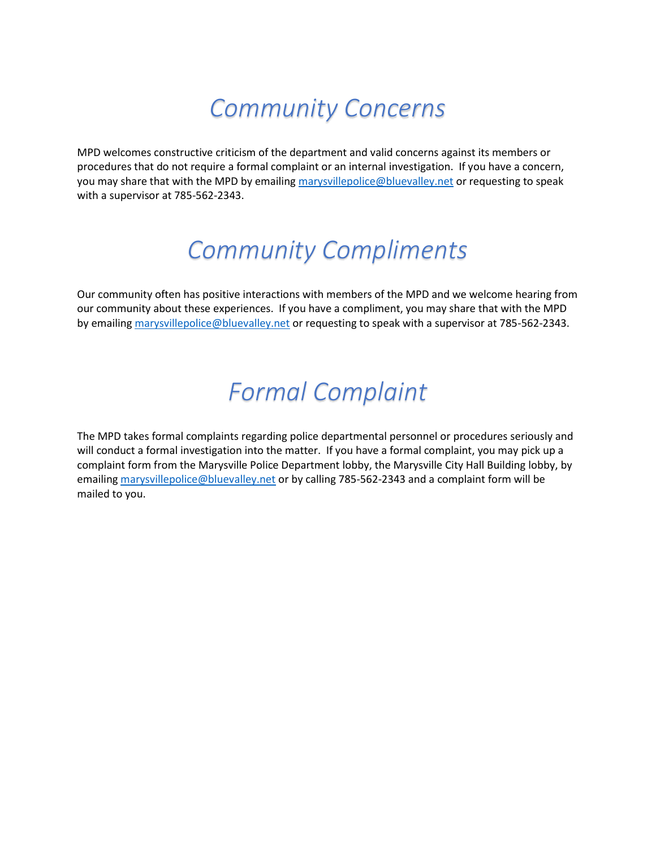## *Community Concerns*

MPD welcomes constructive criticism of the department and valid concerns against its members or procedures that do not require a formal complaint or an internal investigation. If you have a concern, you may share that with the MPD by emailin[g marysvillepolice@bluevalley.net](mailto:marysvillepolice@bluevalley.net) or requesting to speak with a supervisor at 785-562-2343.

# *Community Compliments*

Our community often has positive interactions with members of the MPD and we welcome hearing from our community about these experiences. If you have a compliment, you may share that with the MPD by emailing [marysvillepolice@bluevalley.net](mailto:marysvillepolice@bluevalley.net) or requesting to speak with a supervisor at 785-562-2343.

# *Formal Complaint*

The MPD takes formal complaints regarding police departmental personnel or procedures seriously and will conduct a formal investigation into the matter. If you have a formal complaint, you may pick up a complaint form from the Marysville Police Department lobby, the Marysville City Hall Building lobby, by emailin[g marysvillepolice@bluevalley.net](mailto:marysvillepolice@bluevalley.net) or by calling 785-562-2343 and a complaint form will be mailed to you.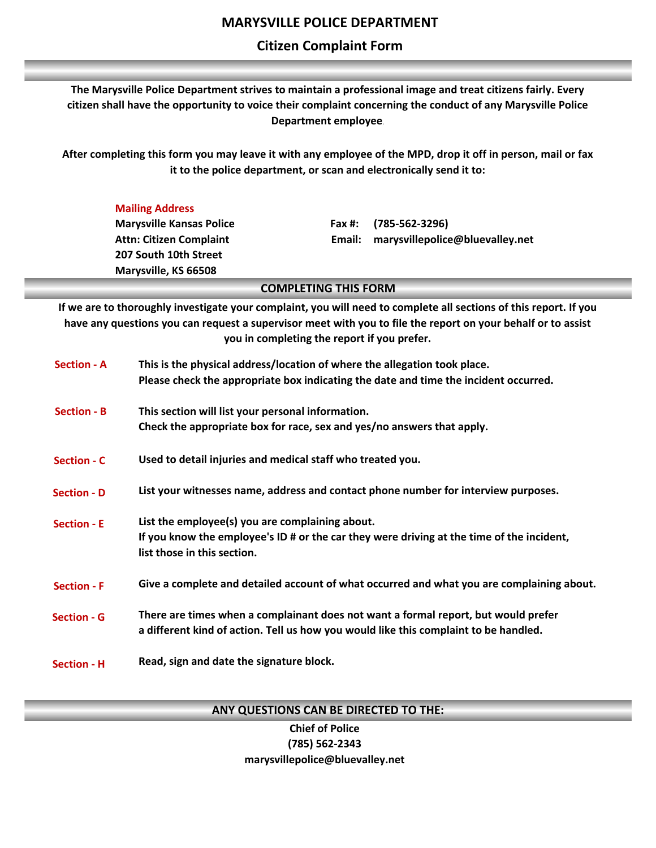### **Citizen Complaint Form**

**The Marysville Police Department strives to maintain a professional image and treat citizens fairly. Every citizen shall have the opportunity to voice their complaint concerning the conduct of any Marysville Police Department employee.**

**After completing this form you may leave it with any employee of the MPD, drop it off in person, mail or fax it to the police department, or scan and electronically send it to:**

#### **Mailing Address**

**Marysville Kansas Police Attn: Citizen Complaint 207 South 10th Street Marysville, KS 66508**

**Fax #: (785-562-3296) Email: marysvillepolice@bluevalley.net**

#### **COMPLETING THIS FORM**

**If we are to thoroughly investigate your complaint, you will need to complete all sections of this report. If you have any questions you can request a supervisor meet with you to file the report on your behalf or to assist you in completing the report if you prefer.**

| <b>Section - A</b> | This is the physical address/location of where the allegation took place.<br>Please check the appropriate box indicating the date and time the incident occurred.           |
|--------------------|-----------------------------------------------------------------------------------------------------------------------------------------------------------------------------|
| <b>Section - B</b> | This section will list your personal information.<br>Check the appropriate box for race, sex and yes/no answers that apply.                                                 |
| <b>Section - C</b> | Used to detail injuries and medical staff who treated you.                                                                                                                  |
| <b>Section - D</b> | List your witnesses name, address and contact phone number for interview purposes.                                                                                          |
| <b>Section - E</b> | List the employee(s) you are complaining about.<br>If you know the employee's ID # or the car they were driving at the time of the incident,<br>list those in this section. |
| <b>Section - F</b> | Give a complete and detailed account of what occurred and what you are complaining about.                                                                                   |
| <b>Section - G</b> | There are times when a complainant does not want a formal report, but would prefer<br>a different kind of action. Tell us how you would like this complaint to be handled.  |
| <b>Section - H</b> | Read, sign and date the signature block.                                                                                                                                    |

**ANY QUESTIONS CAN BE DIRECTED TO THE:**

**Chief of Police (785) 562-2343 marysvillepolice@bluevalley.net**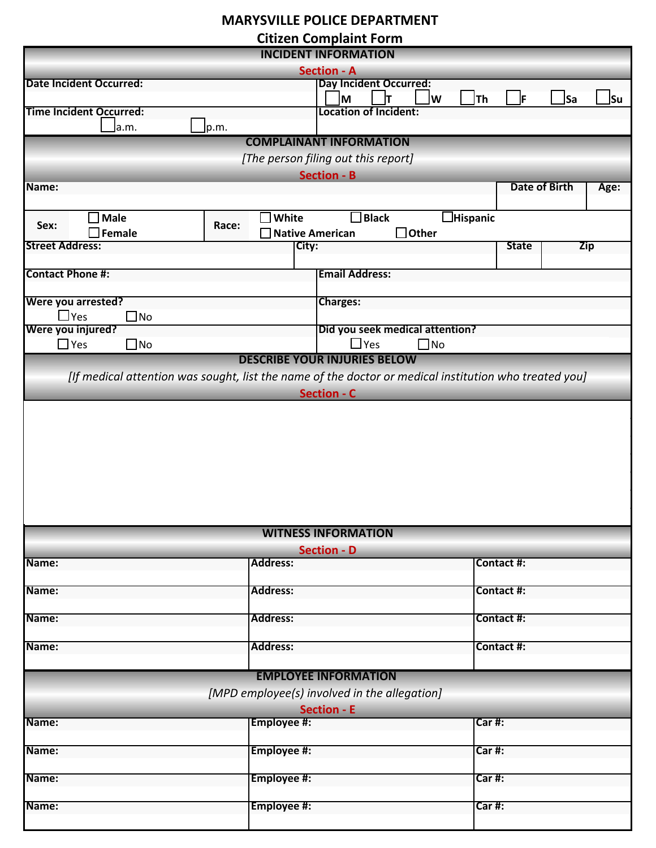### **MARYSVILLE POLICE DEPARTMENT**

**Citizen Complaint Form**

| <br><b>INCIDENT INFORMATION</b>        |                                 |                                                                                                       |                              |  |  |  |  |  |  |  |
|----------------------------------------|---------------------------------|-------------------------------------------------------------------------------------------------------|------------------------------|--|--|--|--|--|--|--|
| <b>Section - A</b>                     |                                 |                                                                                                       |                              |  |  |  |  |  |  |  |
| <b>Date Incident Occurred:</b>         |                                 | <b>Day Incident Occurred:</b>                                                                         |                              |  |  |  |  |  |  |  |
|                                        |                                 | ]Th<br>M<br>∣w                                                                                        | F<br><b>Sa</b><br>]Su        |  |  |  |  |  |  |  |
| <b>Time Incident Occurred:</b>         |                                 | <b>Location of Incident:</b>                                                                          |                              |  |  |  |  |  |  |  |
| Jp.m.<br>a.m.                          |                                 |                                                                                                       |                              |  |  |  |  |  |  |  |
|                                        |                                 | <b>COMPLAINANT INFORMATION</b>                                                                        |                              |  |  |  |  |  |  |  |
|                                        |                                 |                                                                                                       |                              |  |  |  |  |  |  |  |
| [The person filing out this report]    |                                 |                                                                                                       |                              |  |  |  |  |  |  |  |
|                                        |                                 | <b>Section - B</b>                                                                                    |                              |  |  |  |  |  |  |  |
| Name:                                  |                                 |                                                                                                       | <b>Date of Birth</b><br>Age: |  |  |  |  |  |  |  |
|                                        |                                 |                                                                                                       |                              |  |  |  |  |  |  |  |
| Male                                   | White                           | $\square$ Black<br><b>Hispanic</b>                                                                    |                              |  |  |  |  |  |  |  |
| Sex:<br>$\mathsf{\mathsf{\ I}}$ Female | Race:<br><b>Native American</b> | $\Box$ Other                                                                                          |                              |  |  |  |  |  |  |  |
| <b>Street Address:</b>                 | City:                           |                                                                                                       | Zip<br><b>State</b>          |  |  |  |  |  |  |  |
|                                        |                                 |                                                                                                       |                              |  |  |  |  |  |  |  |
| <b>Contact Phone #:</b>                |                                 | <b>Email Address:</b>                                                                                 |                              |  |  |  |  |  |  |  |
|                                        |                                 |                                                                                                       |                              |  |  |  |  |  |  |  |
| Were you arrested?                     |                                 | <b>Charges:</b>                                                                                       |                              |  |  |  |  |  |  |  |
| $\Box$ Yes<br>$\square$ No             |                                 |                                                                                                       |                              |  |  |  |  |  |  |  |
| Were you injured?                      |                                 | Did you seek medical attention?                                                                       |                              |  |  |  |  |  |  |  |
|                                        |                                 |                                                                                                       |                              |  |  |  |  |  |  |  |
| $\Box$ Yes<br>$\square$ No             |                                 | $\Box$ Yes<br>$\square$ No                                                                            |                              |  |  |  |  |  |  |  |
|                                        |                                 | <b>DESCRIBE YOUR INJURIES BELOW</b>                                                                   |                              |  |  |  |  |  |  |  |
|                                        |                                 | [If medical attention was sought, list the name of the doctor or medical institution who treated you] |                              |  |  |  |  |  |  |  |
|                                        |                                 | <b>Section - C</b>                                                                                    |                              |  |  |  |  |  |  |  |
|                                        |                                 |                                                                                                       |                              |  |  |  |  |  |  |  |
|                                        |                                 |                                                                                                       |                              |  |  |  |  |  |  |  |
|                                        |                                 | <b>WITNESS INFORMATION</b>                                                                            |                              |  |  |  |  |  |  |  |
|                                        |                                 | <b>Section - D</b>                                                                                    |                              |  |  |  |  |  |  |  |
| Name:                                  | <b>Address:</b>                 |                                                                                                       | Contact #:                   |  |  |  |  |  |  |  |
|                                        |                                 |                                                                                                       |                              |  |  |  |  |  |  |  |
| Name:                                  | <b>Address:</b>                 |                                                                                                       | Contact #:                   |  |  |  |  |  |  |  |
|                                        |                                 |                                                                                                       |                              |  |  |  |  |  |  |  |
| Name:                                  | <b>Address:</b>                 |                                                                                                       | Contact #:                   |  |  |  |  |  |  |  |
|                                        |                                 |                                                                                                       |                              |  |  |  |  |  |  |  |
| Name:                                  | <b>Address:</b>                 |                                                                                                       | Contact #:                   |  |  |  |  |  |  |  |
|                                        |                                 |                                                                                                       |                              |  |  |  |  |  |  |  |
|                                        |                                 |                                                                                                       |                              |  |  |  |  |  |  |  |
|                                        |                                 | <b>EMPLOYEE INFORMATION</b>                                                                           |                              |  |  |  |  |  |  |  |
|                                        |                                 | [MPD employee(s) involved in the allegation]                                                          |                              |  |  |  |  |  |  |  |
|                                        |                                 | <b>Section - E</b>                                                                                    |                              |  |  |  |  |  |  |  |
| Name:                                  | Employee #:                     |                                                                                                       | Carff:                       |  |  |  |  |  |  |  |
|                                        |                                 |                                                                                                       |                              |  |  |  |  |  |  |  |
| Name:                                  | Employee #:                     |                                                                                                       | Car#:                        |  |  |  |  |  |  |  |
|                                        |                                 |                                                                                                       |                              |  |  |  |  |  |  |  |
| Name:                                  | Employee #:                     |                                                                                                       | Car#:                        |  |  |  |  |  |  |  |
|                                        |                                 |                                                                                                       |                              |  |  |  |  |  |  |  |
| Name:                                  | Employee #:                     |                                                                                                       | Car#:                        |  |  |  |  |  |  |  |
|                                        |                                 |                                                                                                       |                              |  |  |  |  |  |  |  |
|                                        |                                 |                                                                                                       |                              |  |  |  |  |  |  |  |